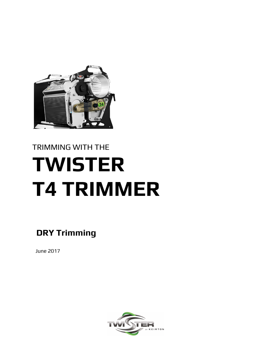

# TRIMMING WITH THE **TWISTER T4 TRIMMER**

 **DRY Trimming**

June 2017

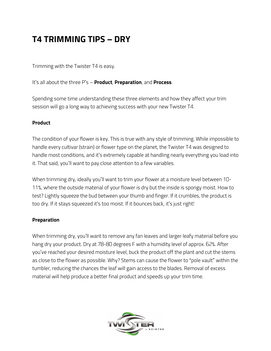## **T4 TRIMMING TIPS – DRY**

Trimming with the Twister T4 is easy.

It's all about the three P's – **Product**, **Preparation**, and **Process**.

Spending some time understanding these three elements and how they affect your trim session will go a long way to achieving success with your new Twister T4.

#### **Product**

The condition of your flower is key. This is true with any style of trimming. While impossible to handle every cultivar (strain) or flower type on the planet, the Twister T4 was designed to handle most conditions, and it's extremely capable at handling nearly everything you load into it. That said, you'll want to pay close attention to a few variables.

When trimming dry, ideally you'll want to trim your flower at a moisture level between 10- 11%, where the outside material of your flower is dry but the inside is spongy moist. How to test? Lightly squeeze the bud between your thumb and finger. If it crumbles, the product is too dry. If it stays squeezed it's too moist. If it bounces back, it's just right!

#### **Preparation**

When trimming dry, you'll want to remove any fan leaves and larger leafy material before you hang dry your product. Dry at 78-80 degrees F with a humidity level of approx. 62%. After you've reached your desired moisture level, buck the product off the plant and cut the stems as close to the flower as possible. Why? Stems can cause the flower to "pole vault" within the tumbler, reducing the chances the leaf will gain access to the blades. Removal of excess material will help produce a better final product and speeds up your trim time.

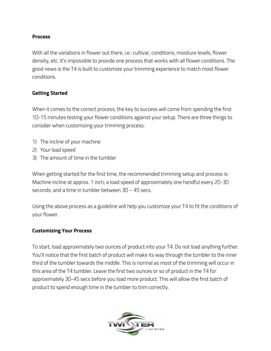#### **Process**

With all the variations in flower out there, i.e.: cultivar, conditions, moisture levels, flower density, etc. it's impossible to provide one process that works with all flower conditions. The good news is the T4 is built to customize your trimming experience to match most flower conditions.

#### **Getting Started**

When it comes to the correct process, the key to success will come from spending the first 10-15 minutes testing your flower conditions against your setup. There are three things to consider when customizing your trimming process:

- 1) The incline of your machine
- 2) Your load speed
- 3) The amount of time in the tumbler

When getting started for the first time, the recommended trimming setup and process is: Machine incline at approx. 1 inch; a load speed of approximately one handful every 20-30 seconds; and a time in tumbler between 30 – 45 secs.

Using the above process as a guideline will help you customize your T4 to fit the conditions of your flower.

#### **Customizing Your Process**

To start, load approximately two ounces of product into your T4. Do not load anything further. You'll notice that the first batch of product will make its way through the tumbler to the inner third of the tumbler towards the middle. This is normal as most of the trimming will occur in this area of the T4 tumbler. Leave the first two ounces or so of product in the T4 for approximately 30-45 secs before you load more product. This will allow the first batch of product to spend enough time in the tumbler to trim correctly.

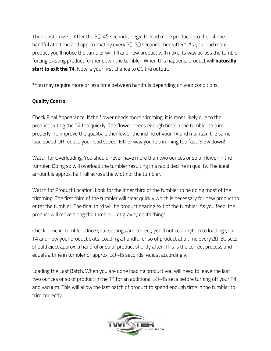Then Customize – After the 30-45 seconds, begin to load more product into the T4 one handful at a time and approximately every 20-30 seconds thereafter\*. As you load more product you'll notice the tumbler will fill and new product will make its way across the tumbler forcing existing product further down the tumbler. When this happens, product will **naturally start to exit the T4**. Now is your first chance to QC the output.

\*You may require more or less time between handfuls depending on your conditions.

#### **Quality Control**

Check Final Appearance. If the flower needs more trimming, it is most likely due to the product exiting the T4 too quickly. The flower needs enough time in the tumbler to trim properly. To improve the quality, either lower the incline of your T4 and maintain the same load speed OR reduce your load speed. Either way you're trimming too fast. Slow down!

Watch for Overloading. You should never have more than two ounces or so of flower in the tumbler. Doing so will overload the tumbler resulting in a rapid decline in quality. The ideal amount is approx. half full across the width of the tumbler.

Watch for Product Location. Look for the inner third of the tumbler to be doing most of the trimming. The first third of the tumbler will clear quickly which is necessary for new product to enter the tumbler. The final third will be product nearing exit of the tumbler. As you feed, the product will move along the tumbler. Let gravity do its thing!

Check Time in Tumbler. Once your settings are correct, you'll notice a rhythm to loading your T4 and how your product exits. Loading a handful or so of product at a time every 20-30 secs should eject approx. a handful or so of product shortly after. This is the correct process and equals a time in tumbler of approx. 30-45 seconds. Adjust accordingly.

Loading the Last Batch. When you are done loading product you will need to leave the last two ounces or so of product in the T4 for an additional 30-45 secs before turning off your T4 and vacuum. This will allow the last batch of product to spend enough time in the tumbler to trim correctly.

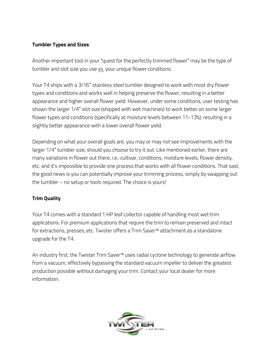#### **Tumbler Types and Sizes**

Another important tool in your "quest for the perfectly trimmed flower" may be the type of tumbler and slot size you use vs. your unique flower conditions.

Your T4 ships with a 3/16" stainless steel tumbler designed to work with most dry flower types and conditions and works well in helping preserve the flower, resulting in a better appearance and higher overall flower yield. However, under some conditions, user testing has shown the larger 1/4" slot size (shipped with wet machines) to work better on some larger flower types and conditions (specifically at moisture levels between 11-13%), resulting in a slightly better appearance with a lower overall flower yield.

Depending on what your overall goals are, you may or may not see improvements with the larger 1/4" tumbler size, should you choose to try it out. Like mentioned earlier, there are many variations in flower out there, i.e.: cultivar, conditions, moisture levels, flower density, etc. and it's impossible to provide one process that works with all flower conditions. That said, the good news is you can potentially improve your trimming process, simply by swapping out the tumbler – no setup or tools required. The choice is yours!

#### **Trim Quality**

Your T4 comes with a standard 1 HP leaf collector capable of handling most wet trim applications. For premium applications that require the trim to remain preserved and intact for extractions, presses, etc. Twister offers a Trim Saver™ attachment as a standalone upgrade for the T4.

An industry first, the Twister Trim Saver™ uses radial cyclone technology to generate airflow from a vacuum, effectively bypassing the standard vacuum impeller to deliver the greatest production possible without damaging your trim. Contact your local dealer for more information.